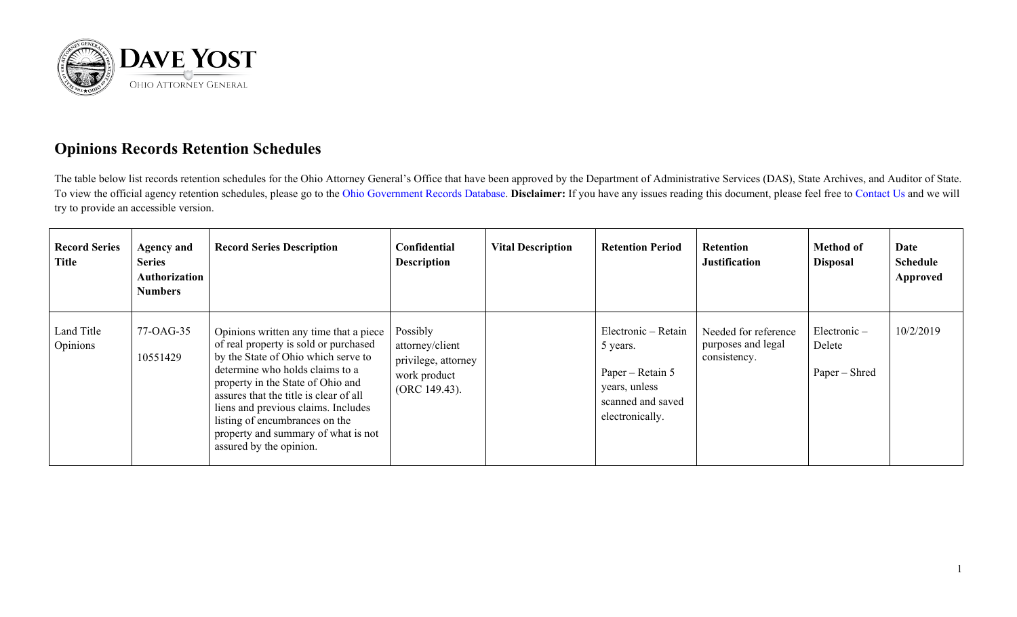

## **Opinions Records Retention Schedules**

The table below list records retention schedules for the Ohio Attorney General's Office that have been approved by the Department of Administrative Services (DAS), State Archives, and Auditor of State. To view the official agency retention schedules, please go to the [Ohio Government Records Database.](https://apps.das.ohio.gov/rims/default/Default.asp) **Disclaimer:** If you have any issues reading this document, please feel free to [Contact Us](https://www.ohioattorneygeneral.gov/About-AG/Contact) and we will try to provide an accessible version.

| <b>Record Series</b><br>Title | <b>Agency and</b><br><b>Series</b><br>Authorization<br><b>Numbers</b> | <b>Record Series Description</b>                                                                                                                                                                                                                                                                                                                                                    | Confidential<br><b>Description</b>                                                  | <b>Vital Description</b> | <b>Retention Period</b>                                                                                      | <b>Retention</b><br><b>Justification</b>                   | <b>Method of</b><br><b>Disposal</b>       | Date<br><b>Schedule</b><br>Approved |
|-------------------------------|-----------------------------------------------------------------------|-------------------------------------------------------------------------------------------------------------------------------------------------------------------------------------------------------------------------------------------------------------------------------------------------------------------------------------------------------------------------------------|-------------------------------------------------------------------------------------|--------------------------|--------------------------------------------------------------------------------------------------------------|------------------------------------------------------------|-------------------------------------------|-------------------------------------|
| Land Title<br>Opinions        | 77-OAG-35<br>10551429                                                 | Opinions written any time that a piece<br>of real property is sold or purchased<br>by the State of Ohio which serve to<br>determine who holds claims to a<br>property in the State of Ohio and<br>assures that the title is clear of all<br>liens and previous claims. Includes<br>listing of encumbrances on the<br>property and summary of what is not<br>assured by the opinion. | Possibly<br>attorney/client<br>privilege, attorney<br>work product<br>(ORC 149.43). |                          | Electronic - Retain<br>5 years.<br>Paper – Retain 5<br>years, unless<br>scanned and saved<br>electronically. | Needed for reference<br>purposes and legal<br>consistency. | $Electronic -$<br>Delete<br>Paper – Shred | 10/2/2019                           |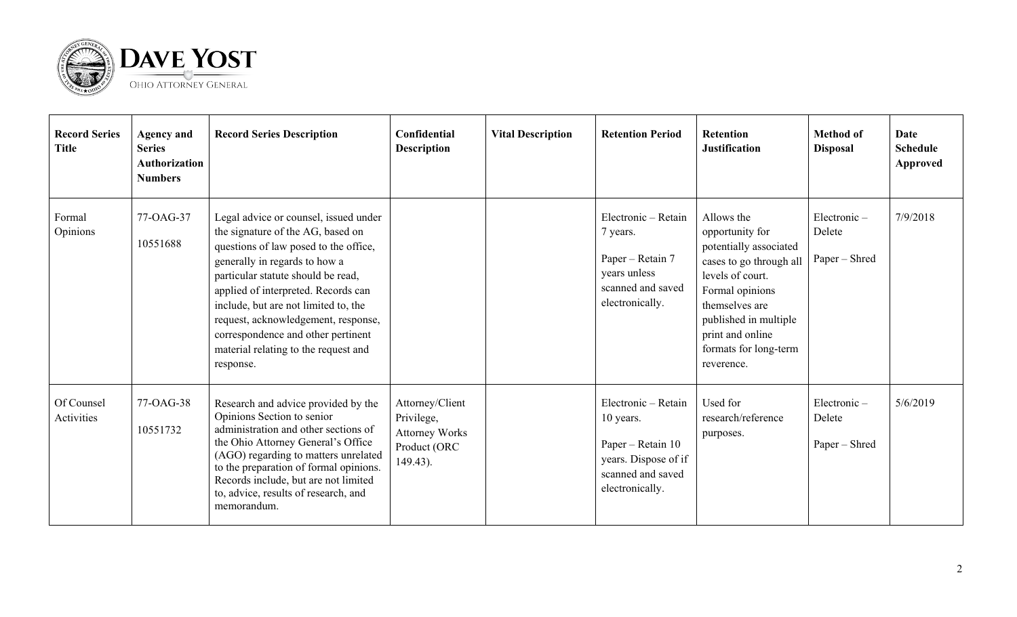

| <b>Record Series</b><br><b>Title</b> | <b>Agency and</b><br><b>Series</b><br><b>Authorization</b><br><b>Numbers</b> | <b>Record Series Description</b>                                                                                                                                                                                                                                                                                                                                                                            | Confidential<br><b>Description</b>                                                 | <b>Vital Description</b> | <b>Retention Period</b>                                                                                               | <b>Retention</b><br><b>Justification</b>                                                                                                                                                                                        | <b>Method of</b><br><b>Disposal</b>       | <b>Date</b><br><b>Schedule</b><br>Approved |
|--------------------------------------|------------------------------------------------------------------------------|-------------------------------------------------------------------------------------------------------------------------------------------------------------------------------------------------------------------------------------------------------------------------------------------------------------------------------------------------------------------------------------------------------------|------------------------------------------------------------------------------------|--------------------------|-----------------------------------------------------------------------------------------------------------------------|---------------------------------------------------------------------------------------------------------------------------------------------------------------------------------------------------------------------------------|-------------------------------------------|--------------------------------------------|
| Formal<br>Opinions                   | 77-OAG-37<br>10551688                                                        | Legal advice or counsel, issued under<br>the signature of the AG, based on<br>questions of law posed to the office,<br>generally in regards to how a<br>particular statute should be read,<br>applied of interpreted. Records can<br>include, but are not limited to, the<br>request, acknowledgement, response,<br>correspondence and other pertinent<br>material relating to the request and<br>response. |                                                                                    |                          | Electronic - Retain<br>7 years.<br>Paper – Retain 7<br>years unless<br>scanned and saved<br>electronically.           | Allows the<br>opportunity for<br>potentially associated<br>cases to go through all<br>levels of court.<br>Formal opinions<br>themselves are<br>published in multiple<br>print and online<br>formats for long-term<br>reverence. | $Electronic -$<br>Delete<br>Paper – Shred | 7/9/2018                                   |
| Of Counsel<br>Activities             | 77-OAG-38<br>10551732                                                        | Research and advice provided by the<br>Opinions Section to senior<br>administration and other sections of<br>the Ohio Attorney General's Office<br>(AGO) regarding to matters unrelated<br>to the preparation of formal opinions.<br>Records include, but are not limited<br>to, advice, results of research, and<br>memorandum.                                                                            | Attorney/Client<br>Privilege,<br><b>Attorney Works</b><br>Product (ORC<br>149.43). |                          | Electronic - Retain<br>10 years.<br>Paper – Retain 10<br>years. Dispose of if<br>scanned and saved<br>electronically. | Used for<br>research/reference<br>purposes.                                                                                                                                                                                     | Electronic-<br>Delete<br>Paper – Shred    | 5/6/2019                                   |